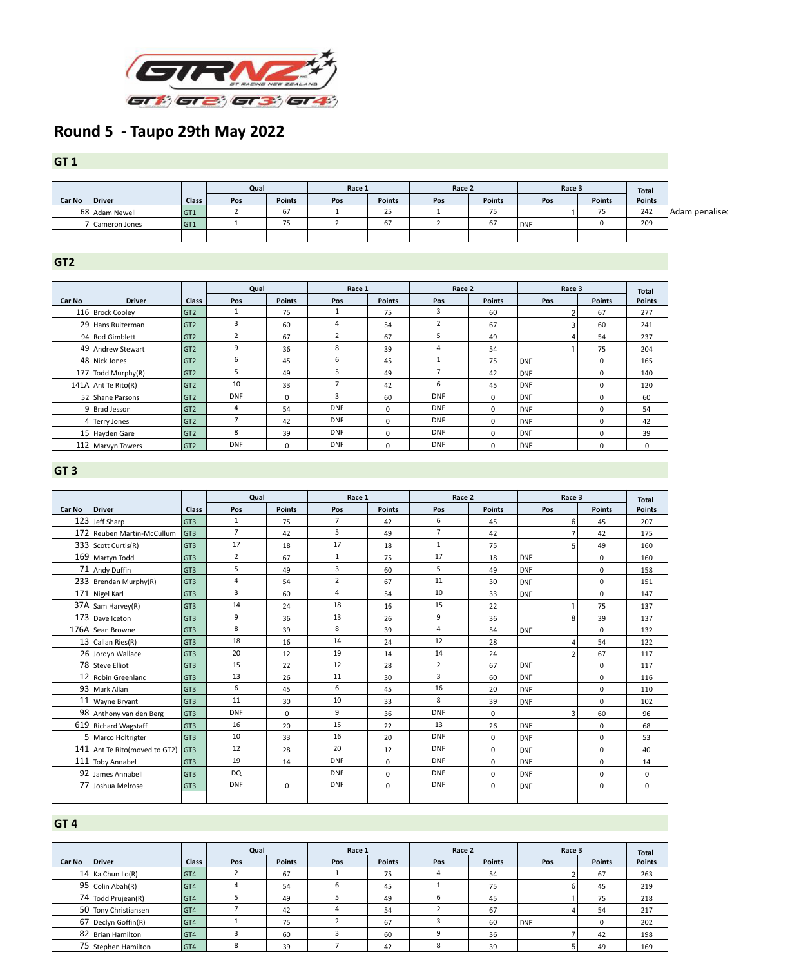

## **Round 5 - Taupo 29th May 2022**

## **GT 1**

|               |                 |              | Qual |               | Race 1 |               | Race 2 |               | Race 3 |               | <b>Total</b>  |
|---------------|-----------------|--------------|------|---------------|--------|---------------|--------|---------------|--------|---------------|---------------|
| <b>Car No</b> | Driver          | <b>Class</b> | Pos  | <b>Points</b> | Pos    | <b>Points</b> | Pos    | <b>Points</b> | Pos    | <b>Points</b> | <b>Points</b> |
|               | 68 Adam Newell  | GT1          |      | ו ס           |        | $\sim$ $-$    |        | 75            |        | $- -$         | 242           |
|               | 7 Cameron Jones | GT1          |      | ر ،           |        | $\sigma$      |        | 67            |        |               | 209           |
|               |                 |              |      |               |        |               |        |               |        |               |               |

**GT2**

|               |                       | Qual            |                |               | Race 1         |               | Race 2         |                | Race 3 |                  | <b>Total</b>  |
|---------------|-----------------------|-----------------|----------------|---------------|----------------|---------------|----------------|----------------|--------|------------------|---------------|
| <b>Car No</b> | <b>Driver</b>         | <b>Class</b>    | Pos            | <b>Points</b> | Pos            | <b>Points</b> | Pos            | <b>Points</b>  | Pos    | <b>Points</b>    | <b>Points</b> |
|               | 116 Brock Cooley      | GT <sub>2</sub> |                | 75            | J.             | 75            | 3              | 60             |        | 67               | 277           |
|               | 29 Hans Ruiterman     | GT <sub>2</sub> | 3              | 60            | 4              | 54            | $\overline{2}$ | 67             |        | 60               | 241           |
|               | 94 Rod Gimblett       | GT <sub>2</sub> | $\overline{2}$ | 67            | $\overline{2}$ | 67            | 5              | 49             |        | 54               | 237           |
|               | 49 Andrew Stewart     | GT <sub>2</sub> | 9              | 36            | 8              | 39            |                | 54             |        | 75               | 204           |
|               | 48 Nick Jones         | GT <sub>2</sub> | 6              | 45            | 6              | 45            |                | 75             | DNF    | $\boldsymbol{0}$ | 165           |
|               | $177$ Todd Murphy(R)  | GT <sub>2</sub> | ּ              | 49            | 5              | 49            |                | 42             | DNF    | $\mathbf 0$      | 140           |
|               | $141A$ Ant Te Rito(R) | GT <sub>2</sub> | 10             | 33            |                | 42            | 6              | 45             | DNF    | $\mathbf 0$      | 120           |
|               | 52 Shane Parsons      | GT <sub>2</sub> | <b>DNF</b>     | $\mathbf 0$   | 3              | 60            | <b>DNF</b>     | $\overline{0}$ | DNF    | $\Omega$         | 60            |
|               | $9$ Brad Jesson       | GT <sub>2</sub> | 4              | 54            | <b>DNF</b>     | $\mathbf 0$   | <b>DNF</b>     | $\mathbf 0$    | DNF    | $\mathbf 0$      | 54            |
|               | 4 Terry Jones         | GT <sub>2</sub> |                | 42            | <b>DNF</b>     | $\mathbf 0$   | <b>DNF</b>     | $\mathbf 0$    | DNF    | $\mathbf 0$      | 42            |
|               | 15 Hayden Gare        | GT <sub>2</sub> | 8              | 39            | <b>DNF</b>     | $\mathbf 0$   | <b>DNF</b>     | $\mathbf 0$    | DNF    | 0                | 39            |
|               | 112 Marvyn Towers     | GT <sub>2</sub> | <b>DNF</b>     | 0             | <b>DNF</b>     | $\mathbf 0$   | <b>DNF</b>     | 0              | DNF    | $\Omega$         | 0             |

## **GT 3**

|               |                                  |                 | Qual           |               | Race 1         |                | Race 2         |               | Race 3         | <b>Total</b>  |                |
|---------------|----------------------------------|-----------------|----------------|---------------|----------------|----------------|----------------|---------------|----------------|---------------|----------------|
| <b>Car No</b> | <b>Driver</b>                    | <b>Class</b>    | Pos            | <b>Points</b> | Pos            | <b>Points</b>  | Pos            | <b>Points</b> | Pos            | <b>Points</b> | <b>Points</b>  |
|               | 123 Jeff Sharp                   | GT <sub>3</sub> | $\mathbf{1}$   | 75            | $\overline{7}$ | 42             | 6              | 45            | 6              | 45            | 207            |
|               | 172 Reuben Martin-McCullum       | GT3             | $\overline{7}$ | 42            | 5 <sup>1</sup> | 49             | $\overline{7}$ | 42            |                | 42            | 175            |
|               | $333$ Scott Curtis(R)            | GT <sub>3</sub> | 17             | 18            | 17             | 18             | $\mathbf{1}$   | 75            | 5              | 49            | 160            |
|               | 169 Martyn Todd                  | GT <sub>3</sub> | $\overline{2}$ | 67            | $\mathbf{1}$   | 75             | 17             | 18            | <b>DNF</b>     | $\mathbf 0$   | 160            |
|               | 71 Andy Duffin                   | GT <sub>3</sub> | 5              | 49            | $\overline{3}$ | 60             | 5              | 49            | <b>DNF</b>     | $\mathbf 0$   | 158            |
|               | 233   Brendan Murphy(R)          | GT <sub>3</sub> | 4              | 54            | $2^{\circ}$    | 67             | 11             | 30            | <b>DNF</b>     | $\mathbf 0$   | 151            |
|               | 171 Nigel Karl                   | GT <sub>3</sub> | 3              | 60            | $\overline{4}$ | 54             | 10             | 33            | <b>DNF</b>     | $\mathbf 0$   | 147            |
|               | $37A$ Sam Harvey(R)              | GT <sub>3</sub> | 14             | 24            | 18             | 16             | 15             | 22            | $\mathbf{1}$   | 75            | 137            |
|               | 173 Dave Iceton                  | GT <sub>3</sub> | 9              | 36            | 13             | 26             | 9              | 36            | 8              | 39            | 137            |
|               | 176A Sean Browne                 | GT <sub>3</sub> | 8              | 39            | 8              | 39             | 4              | 54            | <b>DNF</b>     | $\mathbf{0}$  | 132            |
|               | 13 Callan Ries(R)                | GT <sub>3</sub> | 18             | 16            | 14             | 24             | 12             | 28            | 4              | 54            | 122            |
|               | 26 Jordyn Wallace                | GT <sub>3</sub> | 20             | 12            | 19             | 14             | 14             | 24            | $\overline{2}$ | 67            | 117            |
|               | 78 Steve Elliot                  | GT <sub>3</sub> | 15             | 22            | 12             | 28             | $\overline{2}$ | 67            | <b>DNF</b>     | $\mathbf 0$   | 117            |
|               | 12 Robin Greenland               | GT <sub>3</sub> | 13             | 26            | 11             | 30             | $\overline{3}$ | 60            | <b>DNF</b>     | $\mathbf 0$   | 116            |
|               | 93 Mark Allan                    | GT <sub>3</sub> | 6              | 45            | 6              | 45             | 16             | 20            | <b>DNF</b>     | $\mathbf 0$   | 110            |
|               | 11   Wayne Bryant                | GT <sub>3</sub> | 11             | 30            | 10             | 33             | 8              | 39            | <b>DNF</b>     | $\mathbf{0}$  | 102            |
|               | 98 Anthony van den Berg          | GT <sub>3</sub> | <b>DNF</b>     | $\mathbf 0$   | 9              | 36             | <b>DNF</b>     | $\mathbf 0$   | $\overline{3}$ | 60            | 96             |
|               | 619 Richard Wagstaff             | GT <sub>3</sub> | 16             | 20            | 15             | 22             | 13             | 26            | <b>DNF</b>     | $\mathbf 0$   | 68             |
|               | 5   Marco Holtrigter             | GT <sub>3</sub> | 10             | 33            | 16             | 20             | <b>DNF</b>     | $\mathbf 0$   | <b>DNF</b>     | $\mathbf 0$   | 53             |
|               | 141   Ant Te Rito (moved to GT2) | GT3             | 12             | 28            | 20             | 12             | <b>DNF</b>     | $\mathbf 0$   | <b>DNF</b>     | $\mathbf 0$   | 40             |
|               | 111 Toby Annabel                 | GT <sub>3</sub> | 19             | 14            | <b>DNF</b>     | $\overline{0}$ | <b>DNF</b>     | $\mathbf 0$   | <b>DNF</b>     | $\mathbf 0$   | 14             |
| 92            | James Annabell                   | GT <sub>3</sub> | <b>DQ</b>      |               | <b>DNF</b>     | $\mathbf 0$    | <b>DNF</b>     | $\mathbf 0$   | <b>DNF</b>     | $\mathbf 0$   | $\overline{0}$ |
|               | 77 Joshua Melrose                | GT <sub>3</sub> | <b>DNF</b>     | $\mathbf{0}$  | <b>DNF</b>     | $\overline{0}$ | <b>DNF</b>     | $\mathbf 0$   | <b>DNF</b>     | $\mathbf 0$   | $\overline{0}$ |
|               |                                  |                 |                |               |                |                |                |               |                |               |                |

## **GT 4**

|               |                      |              | Qual |               | Race 1 |               | Race 2 |               | Race 3     | <b>Total</b>  |               |
|---------------|----------------------|--------------|------|---------------|--------|---------------|--------|---------------|------------|---------------|---------------|
| <b>Car No</b> | <b>Driver</b>        | <b>Class</b> | Pos  | <b>Points</b> | Pos    | <b>Points</b> | Pos    | <b>Points</b> | <b>Pos</b> | <b>Points</b> | <b>Points</b> |
|               | $14$ Ka Chun Lo(R)   | GT4          |      | 67            |        | 75            |        | 54            |            | 67            | 263           |
|               | 95   Colin Abah(R)   | GT4          |      | 54            | 6      | 45            |        | 75            |            | 45            | 219           |
|               | 74 Todd Prujean(R)   | GT4          |      | 49            |        | 49            |        | 45            |            | 75            | 218           |
|               | 50 Tony Christiansen | GT4          |      | 42            | 4      | 54            |        | 67            |            | 54            | 217           |
|               | 67 Declyn Goffin(R)  | GT4          |      | 75            |        | 67            |        | 60            | <b>DNF</b> |               | 202           |
|               | 82   Brian Hamilton  | GT4          |      | 60            |        | 60            |        | 36            |            | 42            | 198           |
|               | 75 Stephen Hamilton  | GT4          |      | 39            |        | 42            |        | 39            |            | 49            | 169           |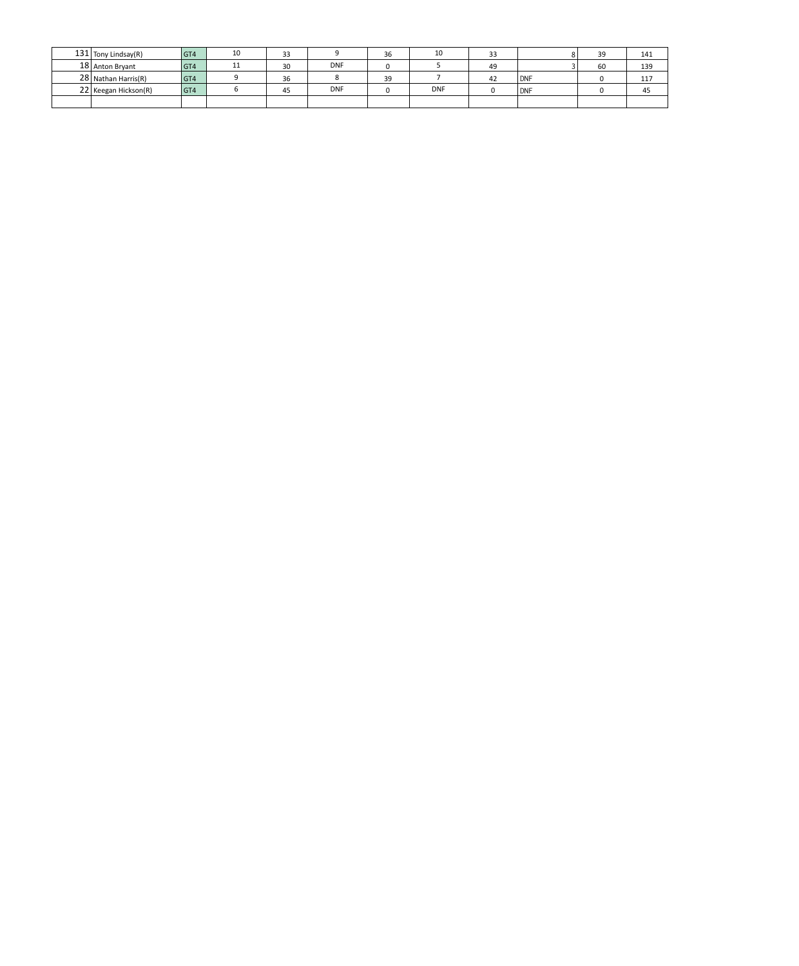| $131$ Tony Lindsay(R)  | $\overline{G}$ T4 | 10 | 33 |            | 36 | 10         | 33 |            | 39 | 141 |
|------------------------|-------------------|----|----|------------|----|------------|----|------------|----|-----|
| 18 Anton Bryant        | GT4               | 11 | 30 | <b>DNF</b> |    |            | 49 |            | 60 | 139 |
| $28$ Nathan Harris(R)  | GT4               |    | 36 |            | 39 |            |    | <b>DNF</b> |    | 117 |
| $22$ Keegan Hickson(R) | GT4               |    | 45 | <b>DNF</b> |    | <b>DNF</b> |    | <b>DNF</b> |    | 45  |
|                        |                   |    |    |            |    |            |    |            |    |     |